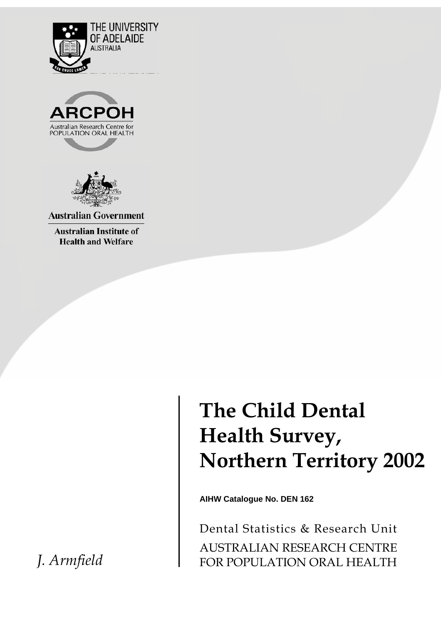





**Australian Government** 

**Australian Institute of Health and Welfare** 

> **The Child Dental Health Survey, Northern Territory 2002**

**AIHW Catalogue No. DEN 162**

Dental Statistics & Research Unit AUSTRALIAN RESEARCH CENTRE FOR POPULATION ORAL HEALTH

*J. Armfield*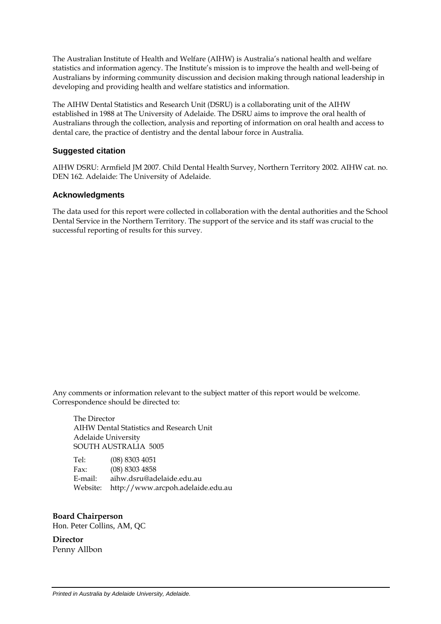The Australian Institute of Health and Welfare (AIHW) is Australia's national health and welfare statistics and information agency. The Institute's mission is to improve the health and well-being of Australians by informing community discussion and decision making through national leadership in developing and providing health and welfare statistics and information.

The AIHW Dental Statistics and Research Unit (DSRU) is a collaborating unit of the AIHW established in 1988 at The University of Adelaide. The DSRU aims to improve the oral health of Australians through the collection, analysis and reporting of information on oral health and access to dental care, the practice of dentistry and the dental labour force in Australia.

#### **Suggested citation**

AIHW DSRU: Armfield JM 2007. Child Dental Health Survey, Northern Territory 2002. AIHW cat. no. DEN 162. Adelaide: The University of Adelaide.

#### **Acknowledgments**

The data used for this report were collected in collaboration with the dental authorities and the School Dental Service in the Northern Territory. The support of the service and its staff was crucial to the successful reporting of results for this survey.

Any comments or information relevant to the subject matter of this report would be welcome. Correspondence should be directed to:

 The Director AIHW Dental Statistics and Research Unit Adelaide University SOUTH AUSTRALIA 5005

 Tel: (08) 8303 4051 Fax: (08) 8303 4858 E-mail: aihw.dsru@adelaide.edu.au Website: http://www.arcpoh.adelaide.edu.au

**Board Chairperson**  Hon. Peter Collins, AM, QC

**Director** Penny Allbon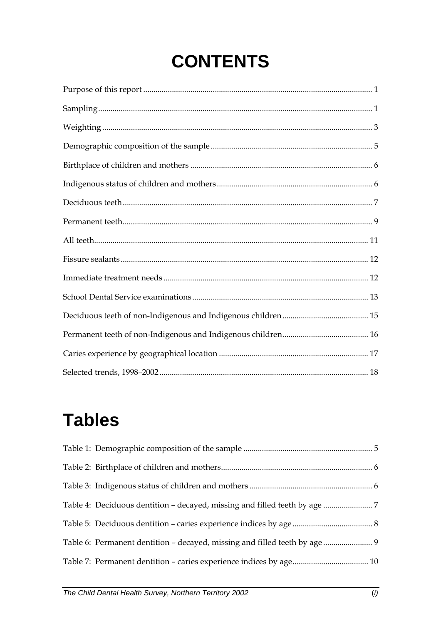# **CONTENTS**

# **Tables**

| Table 6: Permanent dentition - decayed, missing and filled teeth by age  9 |  |
|----------------------------------------------------------------------------|--|
|                                                                            |  |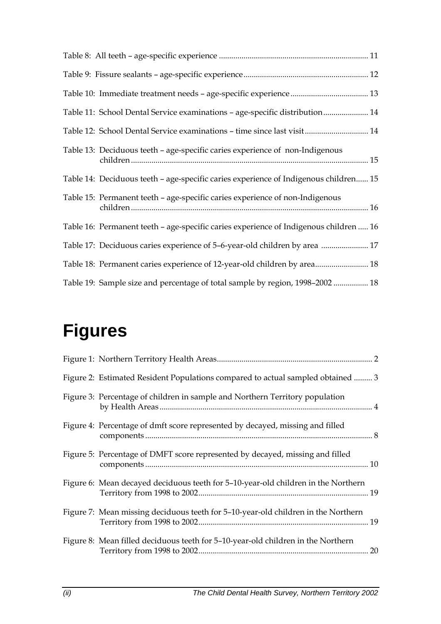| Table 11: School Dental Service examinations - age-specific distribution 14           |
|---------------------------------------------------------------------------------------|
| Table 12: School Dental Service examinations - time since last visit 14               |
| Table 13: Deciduous teeth – age-specific caries experience of non-Indigenous          |
| Table 14: Deciduous teeth - age-specific caries experience of Indigenous children 15  |
| Table 15: Permanent teeth - age-specific caries experience of non-Indigenous          |
| Table 16: Permanent teeth - age-specific caries experience of Indigenous children  16 |
| Table 17: Deciduous caries experience of 5-6-year-old children by area  17            |
| Table 18: Permanent caries experience of 12-year-old children by area 18              |
| Table 19: Sample size and percentage of total sample by region, 1998-2002  18         |

# **Figures**

| Figure 2: Estimated Resident Populations compared to actual sampled obtained  3   |
|-----------------------------------------------------------------------------------|
| Figure 3: Percentage of children in sample and Northern Territory population      |
| Figure 4: Percentage of dmft score represented by decayed, missing and filled     |
| Figure 5: Percentage of DMFT score represented by decayed, missing and filled     |
| Figure 6: Mean decayed deciduous teeth for 5-10-year-old children in the Northern |
| Figure 7: Mean missing deciduous teeth for 5-10-year-old children in the Northern |
| Figure 8: Mean filled deciduous teeth for 5-10-year-old children in the Northern  |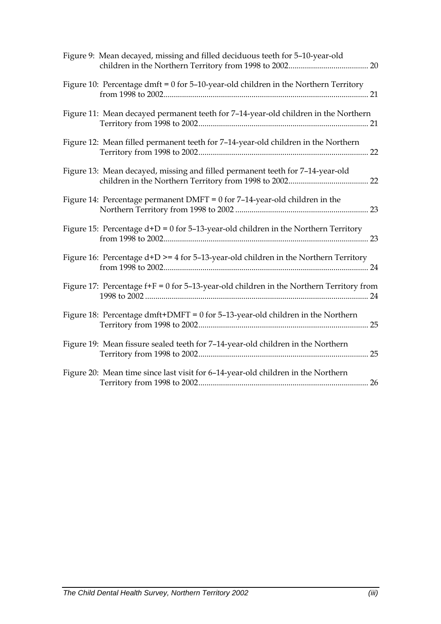| Figure 9: Mean decayed, missing and filled deciduous teeth for 5-10-year-old                |
|---------------------------------------------------------------------------------------------|
| Figure 10: Percentage dmft = $0$ for 5-10-year-old children in the Northern Territory       |
| Figure 11: Mean decayed permanent teeth for 7-14-year-old children in the Northern          |
| Figure 12: Mean filled permanent teeth for 7-14-year-old children in the Northern           |
| Figure 13: Mean decayed, missing and filled permanent teeth for 7-14-year-old               |
| Figure 14: Percentage permanent DMFT = $0$ for 7-14-year-old children in the                |
| Figure 15: Percentage $d+D = 0$ for 5-13-year-old children in the Northern Territory        |
| Figure 16: Percentage $d+D \ge 4$ for 5-13-year-old children in the Northern Territory      |
| Figure 17: Percentage $f + F = 0$ for 5-13-year-old children in the Northern Territory from |
| Figure 18: Percentage dmft+DMFT = $0$ for 5-13-year-old children in the Northern            |
| Figure 19: Mean fissure sealed teeth for 7-14-year-old children in the Northern             |
| Figure 20: Mean time since last visit for 6-14-year-old children in the Northern            |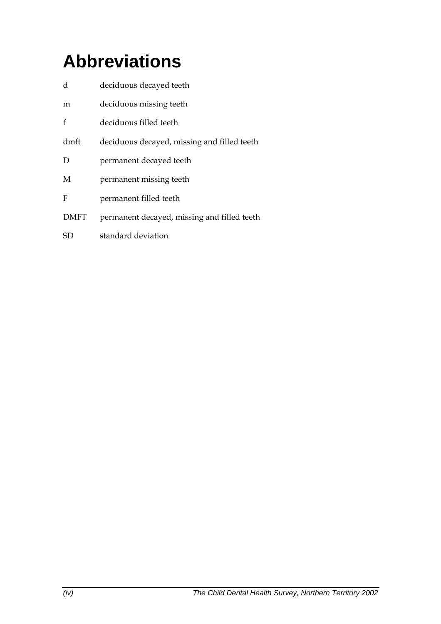# **Abbreviations**

| d           | deciduous decayed teeth                     |
|-------------|---------------------------------------------|
| m           | deciduous missing teeth                     |
| f           | deciduous filled teeth                      |
| dmft        | deciduous decayed, missing and filled teeth |
| D           | permanent decayed teeth                     |
| M           | permanent missing teeth                     |
| F           | permanent filled teeth                      |
| <b>DMFT</b> | permanent decayed, missing and filled teeth |
| SD          | standard deviation                          |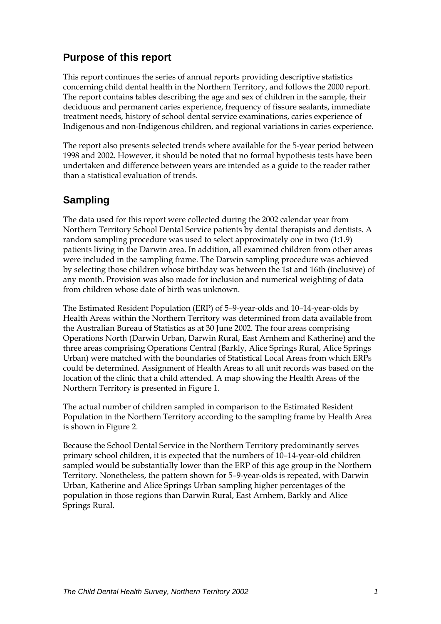## **Purpose of this report**

This report continues the series of annual reports providing descriptive statistics concerning child dental health in the Northern Territory, and follows the 2000 report. The report contains tables describing the age and sex of children in the sample, their deciduous and permanent caries experience, frequency of fissure sealants, immediate treatment needs, history of school dental service examinations, caries experience of Indigenous and non-Indigenous children, and regional variations in caries experience.

The report also presents selected trends where available for the 5-year period between 1998 and 2002. However, it should be noted that no formal hypothesis tests have been undertaken and difference between years are intended as a guide to the reader rather than a statistical evaluation of trends.

## **Sampling**

The data used for this report were collected during the 2002 calendar year from Northern Territory School Dental Service patients by dental therapists and dentists. A random sampling procedure was used to select approximately one in two (1:1.9) patients living in the Darwin area. In addition, all examined children from other areas were included in the sampling frame. The Darwin sampling procedure was achieved by selecting those children whose birthday was between the 1st and 16th (inclusive) of any month. Provision was also made for inclusion and numerical weighting of data from children whose date of birth was unknown.

The Estimated Resident Population (ERP) of 5–9-year-olds and 10–14-year-olds by Health Areas within the Northern Territory was determined from data available from the Australian Bureau of Statistics as at 30 June 2002. The four areas comprising Operations North (Darwin Urban, Darwin Rural, East Arnhem and Katherine) and the three areas comprising Operations Central (Barkly, Alice Springs Rural, Alice Springs Urban) were matched with the boundaries of Statistical Local Areas from which ERPs could be determined. Assignment of Health Areas to all unit records was based on the location of the clinic that a child attended. A map showing the Health Areas of the Northern Territory is presented in Figure 1.

The actual number of children sampled in comparison to the Estimated Resident Population in the Northern Territory according to the sampling frame by Health Area is shown in Figure 2.

Because the School Dental Service in the Northern Territory predominantly serves primary school children, it is expected that the numbers of 10–14-year-old children sampled would be substantially lower than the ERP of this age group in the Northern Territory. Nonetheless, the pattern shown for 5–9-year-olds is repeated, with Darwin Urban, Katherine and Alice Springs Urban sampling higher percentages of the population in those regions than Darwin Rural, East Arnhem, Barkly and Alice Springs Rural.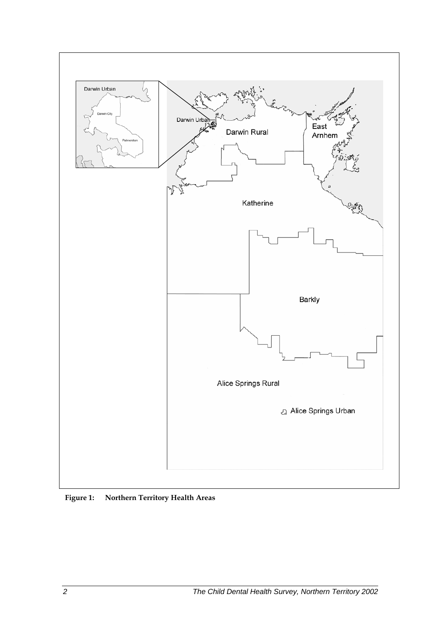

 **Figure 1: Northern Territory Health Areas**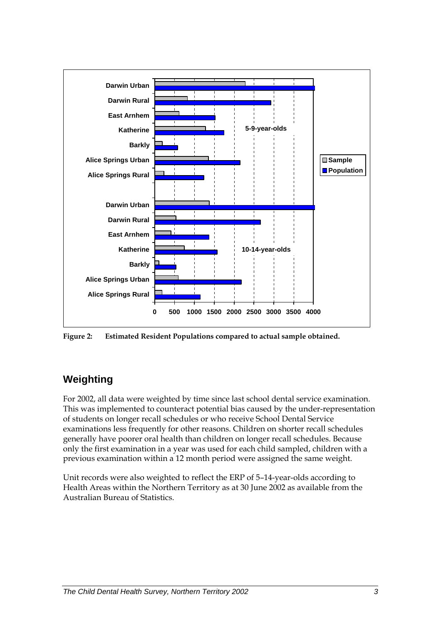

**Figure 2: Estimated Resident Populations compared to actual sample obtained.** 

## **Weighting**

For 2002, all data were weighted by time since last school dental service examination. This was implemented to counteract potential bias caused by the under-representation of students on longer recall schedules or who receive School Dental Service examinations less frequently for other reasons. Children on shorter recall schedules generally have poorer oral health than children on longer recall schedules. Because only the first examination in a year was used for each child sampled, children with a previous examination within a 12 month period were assigned the same weight.

Unit records were also weighted to reflect the ERP of 5–14-year-olds according to Health Areas within the Northern Territory as at 30 June 2002 as available from the Australian Bureau of Statistics.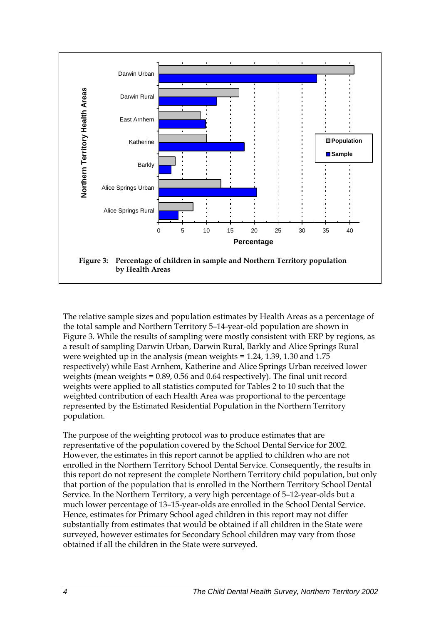

The relative sample sizes and population estimates by Health Areas as a percentage of the total sample and Northern Territory 5–14-year-old population are shown in Figure 3. While the results of sampling were mostly consistent with ERP by regions, as a result of sampling Darwin Urban, Darwin Rural, Barkly and Alice Springs Rural were weighted up in the analysis (mean weights = 1.24, 1.39, 1.30 and 1.75 respectively) while East Arnhem, Katherine and Alice Springs Urban received lower weights (mean weights = 0.89, 0.56 and 0.64 respectively). The final unit record weights were applied to all statistics computed for Tables 2 to 10 such that the weighted contribution of each Health Area was proportional to the percentage represented by the Estimated Residential Population in the Northern Territory population.

The purpose of the weighting protocol was to produce estimates that are representative of the population covered by the School Dental Service for 2002. However, the estimates in this report cannot be applied to children who are not enrolled in the Northern Territory School Dental Service. Consequently, the results in this report do not represent the complete Northern Territory child population, but only that portion of the population that is enrolled in the Northern Territory School Dental Service. In the Northern Territory, a very high percentage of 5–12-year-olds but a much lower percentage of 13–15-year-olds are enrolled in the School Dental Service. Hence, estimates for Primary School aged children in this report may not differ substantially from estimates that would be obtained if all children in the State were surveyed, however estimates for Secondary School children may vary from those obtained if all the children in the State were surveyed.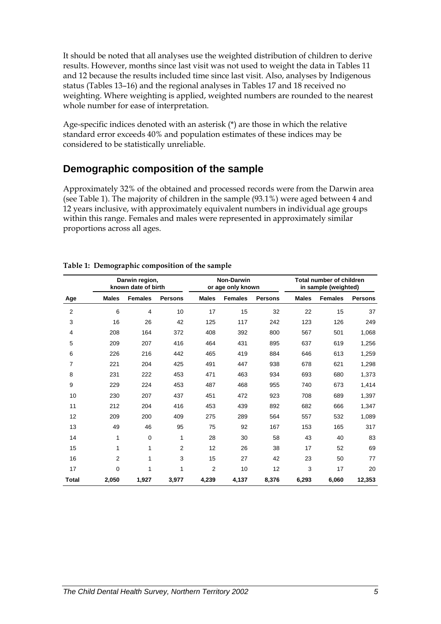It should be noted that all analyses use the weighted distribution of children to derive results. However, months since last visit was not used to weight the data in Tables 11 and 12 because the results included time since last visit. Also, analyses by Indigenous status (Tables 13–16) and the regional analyses in Tables 17 and 18 received no weighting. Where weighting is applied, weighted numbers are rounded to the nearest whole number for ease of interpretation.

Age-specific indices denoted with an asterisk (\*) are those in which the relative standard error exceeds 40% and population estimates of these indices may be considered to be statistically unreliable.

## **Demographic composition of the sample**

Approximately 32% of the obtained and processed records were from the Darwin area (see Table 1). The majority of children in the sample (93.1%) were aged between 4 and 12 years inclusive, with approximately equivalent numbers in individual age groups within this range. Females and males were represented in approximately similar proportions across all ages.

|                | Darwin region,<br>known date of birth |                | <b>Non-Darwin</b><br>or age only known |                |                | <b>Total number of children</b><br>in sample (weighted) |              |                |                |
|----------------|---------------------------------------|----------------|----------------------------------------|----------------|----------------|---------------------------------------------------------|--------------|----------------|----------------|
| Age            | <b>Males</b>                          | <b>Females</b> | <b>Persons</b>                         | <b>Males</b>   | <b>Females</b> | <b>Persons</b>                                          | <b>Males</b> | <b>Females</b> | <b>Persons</b> |
| $\overline{2}$ | 6                                     | 4              | 10                                     | 17             | 15             | 32                                                      | 22           | 15             | 37             |
| 3              | 16                                    | 26             | 42                                     | 125            | 117            | 242                                                     | 123          | 126            | 249            |
| $\overline{4}$ | 208                                   | 164            | 372                                    | 408            | 392            | 800                                                     | 567          | 501            | 1,068          |
| 5              | 209                                   | 207            | 416                                    | 464            | 431            | 895                                                     | 637          | 619            | 1,256          |
| 6              | 226                                   | 216            | 442                                    | 465            | 419            | 884                                                     | 646          | 613            | 1,259          |
| 7              | 221                                   | 204            | 425                                    | 491            | 447            | 938                                                     | 678          | 621            | 1,298          |
| 8              | 231                                   | 222            | 453                                    | 471            | 463            | 934                                                     | 693          | 680            | 1,373          |
| 9              | 229                                   | 224            | 453                                    | 487            | 468            | 955                                                     | 740          | 673            | 1,414          |
| 10             | 230                                   | 207            | 437                                    | 451            | 472            | 923                                                     | 708          | 689            | 1,397          |
| 11             | 212                                   | 204            | 416                                    | 453            | 439            | 892                                                     | 682          | 666            | 1,347          |
| 12             | 209                                   | 200            | 409                                    | 275            | 289            | 564                                                     | 557          | 532            | 1,089          |
| 13             | 49                                    | 46             | 95                                     | 75             | 92             | 167                                                     | 153          | 165            | 317            |
| 14             | 1                                     | 0              | 1                                      | 28             | 30             | 58                                                      | 43           | 40             | 83             |
| 15             | 1                                     | 1              | $\overline{2}$                         | 12             | 26             | 38                                                      | 17           | 52             | 69             |
| 16             | 2                                     | 1              | 3                                      | 15             | 27             | 42                                                      | 23           | 50             | 77             |
| 17             | 0                                     | 1              | 1                                      | $\overline{2}$ | 10             | 12                                                      | 3            | 17             | 20             |
| Total          | 2,050                                 | 1,927          | 3,977                                  | 4,239          | 4,137          | 8,376                                                   | 6,293        | 6,060          | 12,353         |

#### **Table 1: Demographic composition of the sample**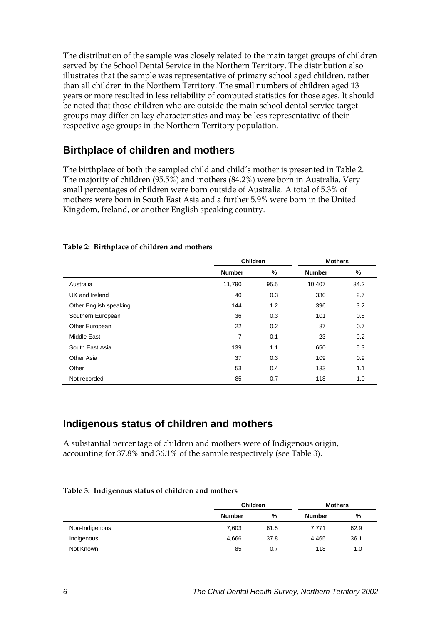The distribution of the sample was closely related to the main target groups of children served by the School Dental Service in the Northern Territory. The distribution also illustrates that the sample was representative of primary school aged children, rather than all children in the Northern Territory. The small numbers of children aged 13 years or more resulted in less reliability of computed statistics for those ages. It should be noted that those children who are outside the main school dental service target groups may differ on key characteristics and may be less representative of their respective age groups in the Northern Territory population.

## **Birthplace of children and mothers**

The birthplace of both the sampled child and child's mother is presented in Table 2. The majority of children (95.5%) and mothers (84.2%) were born in Australia. Very small percentages of children were born outside of Australia. A total of 5.3% of mothers were born in South East Asia and a further 5.9% were born in the United Kingdom, Ireland, or another English speaking country.

|                        |                | <b>Children</b> |               | <b>Mothers</b> |  |
|------------------------|----------------|-----------------|---------------|----------------|--|
|                        | <b>Number</b>  | %               | <b>Number</b> | %              |  |
| Australia              | 11,790         | 95.5            | 10,407        | 84.2           |  |
| UK and Ireland         | 40             | 0.3             | 330           | 2.7            |  |
| Other English speaking | 144            | 1.2             | 396           | 3.2            |  |
| Southern European      | 36             | 0.3             | 101           | 0.8            |  |
| Other European         | 22             | 0.2             | 87            | 0.7            |  |
| Middle East            | $\overline{7}$ | 0.1             | 23            | 0.2            |  |
| South East Asia        | 139            | 1.1             | 650           | 5.3            |  |
| Other Asia             | 37             | 0.3             | 109           | 0.9            |  |
| Other                  | 53             | 0.4             | 133           | 1.1            |  |
| Not recorded           | 85             | 0.7             | 118           | 1.0            |  |

#### **Table 2: Birthplace of children and mothers**

## **Indigenous status of children and mothers**

A substantial percentage of children and mothers were of Indigenous origin, accounting for 37.8% and 36.1% of the sample respectively (see Table 3).

|                |               | <b>Children</b> |               |      |  |
|----------------|---------------|-----------------|---------------|------|--|
|                | <b>Number</b> | %               | <b>Number</b> | %    |  |
| Non-Indigenous | 7,603         | 61.5            | 7.771         | 62.9 |  |
| Indigenous     | 4,666         | 37.8            | 4,465         | 36.1 |  |
| Not Known      | 85            | 0.7             | 118           | 1.0  |  |

#### **Table 3: Indigenous status of children and mothers**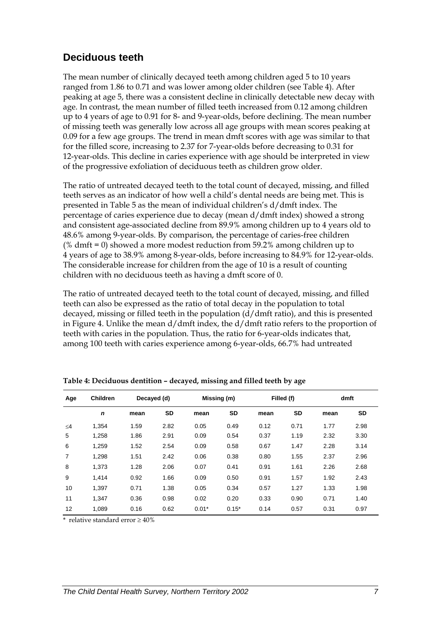## **Deciduous teeth**

The mean number of clinically decayed teeth among children aged 5 to 10 years ranged from 1.86 to 0.71 and was lower among older children (see Table 4). After peaking at age 5, there was a consistent decline in clinically detectable new decay with age. In contrast, the mean number of filled teeth increased from 0.12 among children up to 4 years of age to 0.91 for 8- and 9-year-olds, before declining. The mean number of missing teeth was generally low across all age groups with mean scores peaking at 0.09 for a few age groups. The trend in mean dmft scores with age was similar to that for the filled score, increasing to 2.37 for 7-year-olds before decreasing to 0.31 for 12-year-olds. This decline in caries experience with age should be interpreted in view of the progressive exfoliation of deciduous teeth as children grow older.

The ratio of untreated decayed teeth to the total count of decayed, missing, and filled teeth serves as an indicator of how well a child's dental needs are being met. This is presented in Table 5 as the mean of individual children's d/dmft index. The percentage of caries experience due to decay (mean d/dmft index) showed a strong and consistent age-associated decline from 89.9% among children up to 4 years old to 48.6% among 9-year-olds. By comparison, the percentage of caries-free children (% dmft = 0) showed a more modest reduction from 59.2% among children up to 4 years of age to 38.9% among 8-year-olds, before increasing to 84.9% for 12-year-olds. The considerable increase for children from the age of 10 is a result of counting children with no deciduous teeth as having a dmft score of 0.

The ratio of untreated decayed teeth to the total count of decayed, missing, and filled teeth can also be expressed as the ratio of total decay in the population to total decayed, missing or filled teeth in the population  $(d/dmft)$  ratio), and this is presented in Figure 4. Unlike the mean d/dmft index, the d/dmft ratio refers to the proportion of teeth with caries in the population. Thus, the ratio for 6-year-olds indicates that, among 100 teeth with caries experience among 6-year-olds, 66.7% had untreated

| Age            | <b>Children</b> | Decayed (d) |           |         | Missing (m) |      | Filled (f) |      | dmft      |
|----------------|-----------------|-------------|-----------|---------|-------------|------|------------|------|-----------|
|                | $\mathbf n$     | mean        | <b>SD</b> | mean    | <b>SD</b>   | mean | <b>SD</b>  | mean | <b>SD</b> |
| $\leq 4$       | 1,354           | 1.59        | 2.82      | 0.05    | 0.49        | 0.12 | 0.71       | 1.77 | 2.98      |
| 5              | 1,258           | 1.86        | 2.91      | 0.09    | 0.54        | 0.37 | 1.19       | 2.32 | 3.30      |
| 6              | 1,259           | 1.52        | 2.54      | 0.09    | 0.58        | 0.67 | 1.47       | 2.28 | 3.14      |
| $\overline{7}$ | 1.298           | 1.51        | 2.42      | 0.06    | 0.38        | 0.80 | 1.55       | 2.37 | 2.96      |
| 8              | 1,373           | 1.28        | 2.06      | 0.07    | 0.41        | 0.91 | 1.61       | 2.26 | 2.68      |
| 9              | 1.414           | 0.92        | 1.66      | 0.09    | 0.50        | 0.91 | 1.57       | 1.92 | 2.43      |
| 10             | 1,397           | 0.71        | 1.38      | 0.05    | 0.34        | 0.57 | 1.27       | 1.33 | 1.98      |
| 11             | 1.347           | 0.36        | 0.98      | 0.02    | 0.20        | 0.33 | 0.90       | 0.71 | 1.40      |
| 12             | 1.089           | 0.16        | 0.62      | $0.01*$ | $0.15*$     | 0.14 | 0.57       | 0.31 | 0.97      |

**Table 4: Deciduous dentition – decayed, missing and filled teeth by age**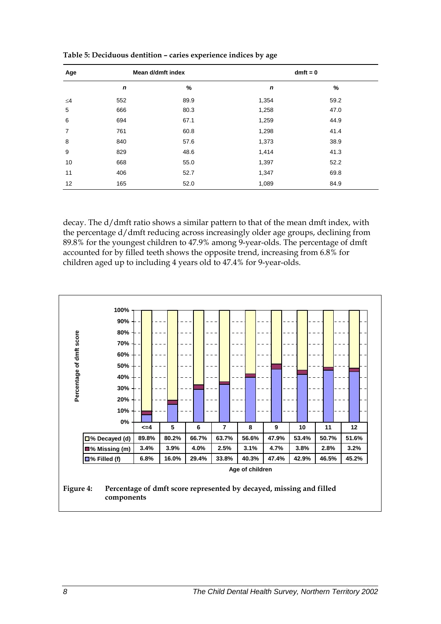| Age            |             | Mean d/dmft index | $dmft = 0$  |      |  |  |
|----------------|-------------|-------------------|-------------|------|--|--|
|                | $\mathbf n$ | %                 | $\mathbf n$ | %    |  |  |
| $\leq 4$       | 552         | 89.9              | 1,354       | 59.2 |  |  |
| 5              | 666         | 80.3              | 1,258       | 47.0 |  |  |
| 6              | 694         | 67.1              | 1,259       | 44.9 |  |  |
| $\overline{7}$ | 761         | 60.8              | 1,298       | 41.4 |  |  |
| 8              | 840         | 57.6              | 1,373       | 38.9 |  |  |
| 9              | 829         | 48.6              | 1,414       | 41.3 |  |  |
| 10             | 668         | 55.0              | 1,397       | 52.2 |  |  |
| 11             | 406         | 52.7              | 1,347       | 69.8 |  |  |
| 12             | 165         | 52.0              | 1,089       | 84.9 |  |  |

**Table 5: Deciduous dentition – caries experience indices by age** 

decay. The d/dmft ratio shows a similar pattern to that of the mean dmft index, with the percentage d/dmft reducing across increasingly older age groups, declining from 89.8% for the youngest children to 47.9% among 9-year-olds. The percentage of dmft accounted for by filled teeth shows the opposite trend, increasing from 6.8% for children aged up to including 4 years old to 47.4% for 9-year-olds.

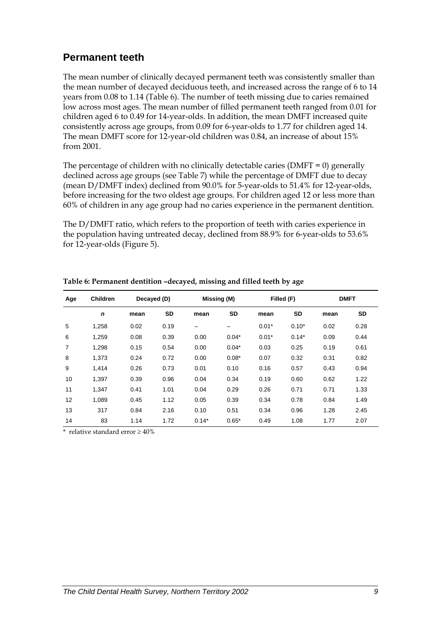## **Permanent teeth**

The mean number of clinically decayed permanent teeth was consistently smaller than the mean number of decayed deciduous teeth, and increased across the range of 6 to 14 years from 0.08 to 1.14 (Table 6). The number of teeth missing due to caries remained low across most ages. The mean number of filled permanent teeth ranged from 0.01 for children aged 6 to 0.49 for 14-year-olds. In addition, the mean DMFT increased quite consistently across age groups, from 0.09 for 6-year-olds to 1.77 for children aged 14. The mean DMFT score for 12-year-old children was 0.84, an increase of about 15% from 2001.

The percentage of children with no clinically detectable caries ( $DMFT = 0$ ) generally declined across age groups (see Table 7) while the percentage of DMFT due to decay (mean D/DMFT index) declined from 90.0% for 5-year-olds to 51.4% for 12-year-olds, before increasing for the two oldest age groups. For children aged 12 or less more than 60% of children in any age group had no caries experience in the permanent dentition.

The D/DMFT ratio, which refers to the proportion of teeth with caries experience in the population having untreated decay, declined from 88.9% for 6-year-olds to 53.6% for 12-year-olds (Figure 5).

| Age | <b>Children</b> | Decayed (D) |           |         | Missing (M) |         | Filled (F) |      | <b>DMFT</b> |
|-----|-----------------|-------------|-----------|---------|-------------|---------|------------|------|-------------|
|     | $\mathbf n$     | mean        | <b>SD</b> | mean    | <b>SD</b>   | mean    | <b>SD</b>  | mean | <b>SD</b>   |
| 5   | 1,258           | 0.02        | 0.19      |         | -           | $0.01*$ | $0.10*$    | 0.02 | 0.28        |
| 6   | 1,259           | 0.08        | 0.39      | 0.00    | $0.04*$     | $0.01*$ | $0.14*$    | 0.09 | 0.44        |
| 7   | 1,298           | 0.15        | 0.54      | 0.00    | $0.04*$     | 0.03    | 0.25       | 0.19 | 0.61        |
| 8   | 1.373           | 0.24        | 0.72      | 0.00    | $0.08*$     | 0.07    | 0.32       | 0.31 | 0.82        |
| 9   | 1.414           | 0.26        | 0.73      | 0.01    | 0.10        | 0.16    | 0.57       | 0.43 | 0.94        |
| 10  | 1.397           | 0.39        | 0.96      | 0.04    | 0.34        | 0.19    | 0.60       | 0.62 | 1.22        |
| 11  | 1.347           | 0.41        | 1.01      | 0.04    | 0.29        | 0.26    | 0.71       | 0.71 | 1.33        |
| 12  | 1.089           | 0.45        | 1.12      | 0.05    | 0.39        | 0.34    | 0.78       | 0.84 | 1.49        |
| 13  | 317             | 0.84        | 2.16      | 0.10    | 0.51        | 0.34    | 0.96       | 1.28 | 2.45        |
| 14  | 83              | 1.14        | 1.72      | $0.14*$ | $0.65*$     | 0.49    | 1.08       | 1.77 | 2.07        |

**Table 6: Permanent dentition –decayed, missing and filled teeth by age**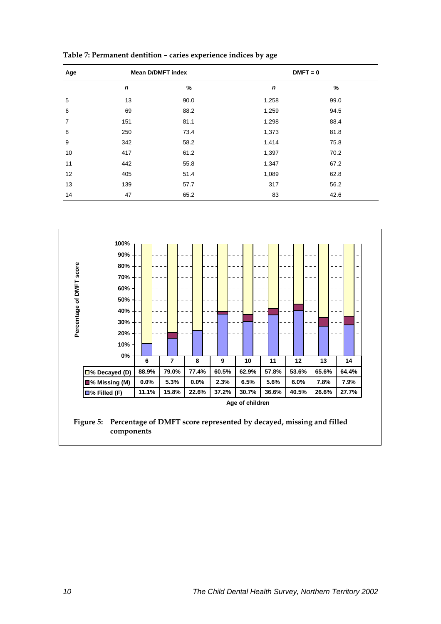| Age |                  | <b>Mean D/DMFT index</b> | $DMFT = 0$  |      |  |  |  |  |
|-----|------------------|--------------------------|-------------|------|--|--|--|--|
|     | $\boldsymbol{n}$ | %                        | $\mathbf n$ | %    |  |  |  |  |
| 5   | 13               | 90.0                     | 1,258       | 99.0 |  |  |  |  |
| 6   | 69               | 88.2                     | 1,259       | 94.5 |  |  |  |  |
| 7   | 151              | 81.1                     | 1,298       | 88.4 |  |  |  |  |
| 8   | 250              | 73.4                     | 1,373       | 81.8 |  |  |  |  |
| 9   | 342              | 58.2                     | 1,414       | 75.8 |  |  |  |  |
| 10  | 417              | 61.2                     | 1,397       | 70.2 |  |  |  |  |
| 11  | 442              | 55.8                     | 1,347       | 67.2 |  |  |  |  |
| 12  | 405              | 51.4                     | 1,089       | 62.8 |  |  |  |  |
| 13  | 139              | 57.7                     | 317         | 56.2 |  |  |  |  |
| 14  | 47               | 65.2                     | 83          | 42.6 |  |  |  |  |

**Table 7: Permanent dentition – caries experience indices by age** 

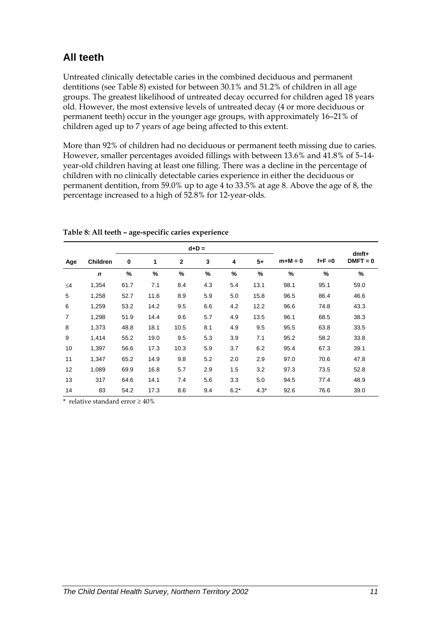## **All teeth**

Untreated clinically detectable caries in the combined deciduous and permanent dentitions (see Table 8) existed for between 30.1% and 51.2% of children in all age groups. The greatest likelihood of untreated decay occurred for children aged 18 years old. However, the most extensive levels of untreated decay (4 or more deciduous or permanent teeth) occur in the younger age groups, with approximately 16–21% of children aged up to 7 years of age being affected to this extent.

More than 92% of children had no deciduous or permanent teeth missing due to caries. However, smaller percentages avoided fillings with between 13.6% and 41.8% of 5–14 year-old children having at least one filling. There was a decline in the percentage of children with no clinically detectable caries experience in either the deciduous or permanent dentition, from 59.0% up to age 4 to 33.5% at age 8. Above the age of 8, the percentage increased to a high of 52.8% for 12-year-olds.

|                |                 |      |      | $d+D =$      |     |        | $dmft+$ |           |             |            |
|----------------|-----------------|------|------|--------------|-----|--------|---------|-----------|-------------|------------|
| Age            | <b>Children</b> | 0    | 1    | $\mathbf{2}$ | 3   | 4      | $5+$    | $m+M = 0$ | $f + F = 0$ | $DMFT = 0$ |
|                | $\mathbf n$     | %    | %    | $\%$         | %   | $\%$   | %       | %         | %           | %          |
| $\leq 4$       | 1,354           | 61.7 | 7.1  | 8.4          | 4.3 | 5.4    | 13.1    | 98.1      | 95.1        | 59.0       |
| 5              | 1,258           | 52.7 | 11.6 | 8.9          | 5.9 | 5.0    | 15.8    | 96.5      | 86.4        | 46.6       |
| 6              | 1,259           | 53.2 | 14.2 | 9.5          | 6.6 | 4.2    | 12.2    | 96.6      | 74.8        | 43.3       |
| $\overline{7}$ | 1,298           | 51.9 | 14.4 | 9.6          | 5.7 | 4.9    | 13.5    | 96.1      | 68.5        | 38.3       |
| 8              | 1,373           | 48.8 | 18.1 | 10.5         | 8.1 | 4.9    | 9.5     | 95.5      | 63.8        | 33.5       |
| 9              | 1,414           | 55.2 | 19.0 | 9.5          | 5.3 | 3.9    | 7.1     | 95.2      | 58.2        | 33.8       |
| 10             | 1,397           | 56.6 | 17.3 | 10.3         | 5.9 | 3.7    | 6.2     | 95.4      | 67.3        | 39.1       |
| 11             | 1,347           | 65.2 | 14.9 | 9.8          | 5.2 | 2.0    | 2.9     | 97.0      | 70.6        | 47.8       |
| 12             | 1,089           | 69.9 | 16.8 | 5.7          | 2.9 | 1.5    | 3.2     | 97.3      | 73.5        | 52.8       |
| 13             | 317             | 64.6 | 14.1 | 7.4          | 5.6 | 3.3    | 5.0     | 94.5      | 77.4        | 48.9       |
| 14             | 83              | 54.2 | 17.3 | 8.6          | 9.4 | $6.2*$ | $4.3*$  | 92.6      | 76.6        | 39.0       |

#### **Table 8: All teeth – age-specific caries experience**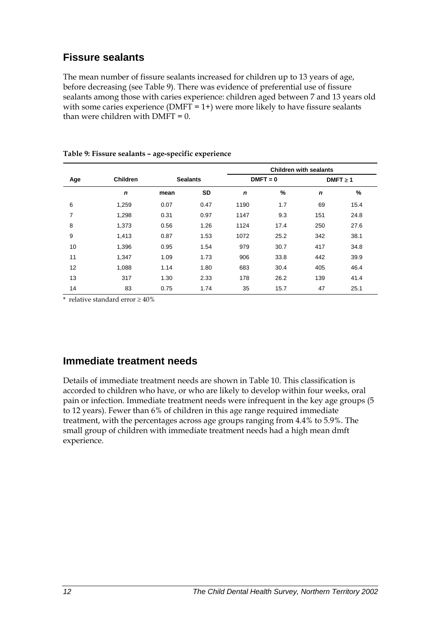## **Fissure sealants**

The mean number of fissure sealants increased for children up to 13 years of age, before decreasing (see Table 9). There was evidence of preferential use of fissure sealants among those with caries experience: children aged between 7 and 13 years old with some caries experience ( $DMFT = 1+$ ) were more likely to have fissure sealants than were children with  $DMFT = 0$ .

|     |                 |      |                 | <b>Children with sealants</b> |            |               |      |  |  |  |  |
|-----|-----------------|------|-----------------|-------------------------------|------------|---------------|------|--|--|--|--|
| Age | <b>Children</b> |      | <b>Sealants</b> |                               | $DMFT = 0$ | $DMFT \geq 1$ |      |  |  |  |  |
|     | $\mathbf n$     | mean | SD              | $\mathbf n$                   | %          | $\mathbf n$   | $\%$ |  |  |  |  |
| 6   | 1,259           | 0.07 | 0.47            | 1190                          | 1.7        | 69            | 15.4 |  |  |  |  |
| 7   | 1,298           | 0.31 | 0.97            | 1147                          | 9.3        | 151           | 24.8 |  |  |  |  |
| 8   | 1,373           | 0.56 | 1.26            | 1124                          | 17.4       | 250           | 27.6 |  |  |  |  |
| 9   | 1,413           | 0.87 | 1.53            | 1072                          | 25.2       | 342           | 38.1 |  |  |  |  |
| 10  | 1,396           | 0.95 | 1.54            | 979                           | 30.7       | 417           | 34.8 |  |  |  |  |
| 11  | 1,347           | 1.09 | 1.73            | 906                           | 33.8       | 442           | 39.9 |  |  |  |  |
| 12  | 1,088           | 1.14 | 1.80            | 683                           | 30.4       | 405           | 46.4 |  |  |  |  |
| 13  | 317             | 1.30 | 2.33            | 178                           | 26.2       | 139           | 41.4 |  |  |  |  |
| 14  | 83              | 0.75 | 1.74            | 35                            | 15.7       | 47            | 25.1 |  |  |  |  |

#### **Table 9: Fissure sealants – age-specific experience**

\* relative standard error ≥ 40%

## **Immediate treatment needs**

Details of immediate treatment needs are shown in Table 10. This classification is accorded to children who have, or who are likely to develop within four weeks, oral pain or infection. Immediate treatment needs were infrequent in the key age groups (5 to 12 years). Fewer than 6% of children in this age range required immediate treatment, with the percentages across age groups ranging from 4.4% to 5.9%. The small group of children with immediate treatment needs had a high mean dmft experience.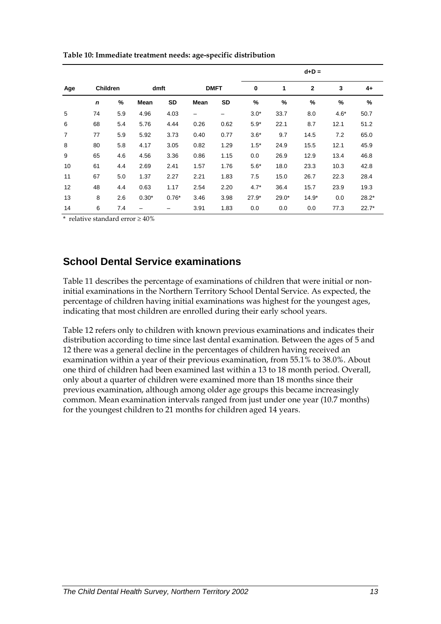|                |                 |     |             |           |             |             | $d+D =$ |         |              |               |         |
|----------------|-----------------|-----|-------------|-----------|-------------|-------------|---------|---------|--------------|---------------|---------|
| Age            | <b>Children</b> |     | dmft        |           |             | <b>DMFT</b> |         | 1       | $\mathbf{2}$ | 3             | 4+      |
|                | $\mathbf n$     | %   | <b>Mean</b> | <b>SD</b> | <b>Mean</b> | SD          | $\%$    | %       | %            | $\frac{9}{6}$ | %       |
| 5              | 74              | 5.9 | 4.96        | 4.03      | -           | -           | $3.0*$  | 33.7    | 8.0          | $4.6*$        | 50.7    |
| 6              | 68              | 5.4 | 5.76        | 4.44      | 0.26        | 0.62        | $5.9*$  | 22.1    | 8.7          | 12.1          | 51.2    |
| $\overline{7}$ | 77              | 5.9 | 5.92        | 3.73      | 0.40        | 0.77        | $3.6*$  | 9.7     | 14.5         | 7.2           | 65.0    |
| 8              | 80              | 5.8 | 4.17        | 3.05      | 0.82        | 1.29        | $1.5*$  | 24.9    | 15.5         | 12.1          | 45.9    |
| 9              | 65              | 4.6 | 4.56        | 3.36      | 0.86        | 1.15        | 0.0     | 26.9    | 12.9         | 13.4          | 46.8    |
| 10             | 61              | 4.4 | 2.69        | 2.41      | 1.57        | 1.76        | $5.6*$  | 18.0    | 23.3         | 10.3          | 42.8    |
| 11             | 67              | 5.0 | 1.37        | 2.27      | 2.21        | 1.83        | 7.5     | 15.0    | 26.7         | 22.3          | 28.4    |
| 12             | 48              | 4.4 | 0.63        | 1.17      | 2.54        | 2.20        | $4.7*$  | 36.4    | 15.7         | 23.9          | 19.3    |
| 13             | 8               | 2.6 | $0.30*$     | $0.76*$   | 3.46        | 3.98        | $27.9*$ | $29.0*$ | $14.9*$      | 0.0           | $28.2*$ |
| 14             | 6               | 7.4 | -           |           | 3.91        | 1.83        | 0.0     | 0.0     | 0.0          | 77.3          | $22.7*$ |

**Table 10: Immediate treatment needs: age-specific distribution** 

\* relative standard error ≥ 40%

## **School Dental Service examinations**

Table 11 describes the percentage of examinations of children that were initial or noninitial examinations in the Northern Territory School Dental Service. As expected, the percentage of children having initial examinations was highest for the youngest ages, indicating that most children are enrolled during their early school years.

Table 12 refers only to children with known previous examinations and indicates their distribution according to time since last dental examination. Between the ages of 5 and 12 there was a general decline in the percentages of children having received an examination within a year of their previous examination, from 55.1% to 38.0%. About one third of children had been examined last within a 13 to 18 month period. Overall, only about a quarter of children were examined more than 18 months since their previous examination, although among older age groups this became increasingly common. Mean examination intervals ranged from just under one year (10.7 months) for the youngest children to 21 months for children aged 14 years.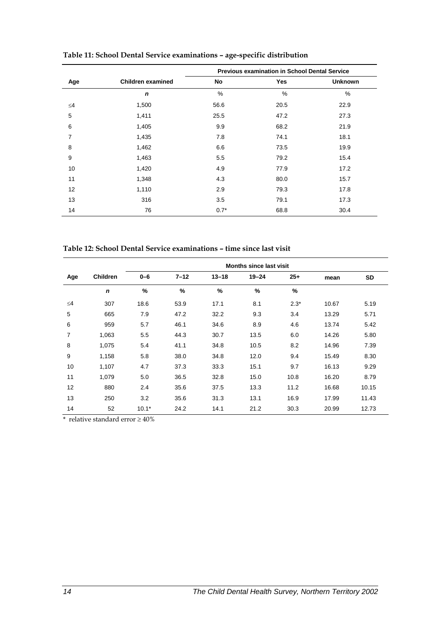|          |                          | <b>Previous examination in School Dental Service</b> |            |                |  |  |  |  |  |
|----------|--------------------------|------------------------------------------------------|------------|----------------|--|--|--|--|--|
| Age      | <b>Children examined</b> | No                                                   | <b>Yes</b> | <b>Unknown</b> |  |  |  |  |  |
|          | $\mathbf n$              | $\%$                                                 | %          | %              |  |  |  |  |  |
| $\leq$ 4 | 1,500                    | 56.6                                                 | 20.5       | 22.9           |  |  |  |  |  |
| 5        | 1,411                    | 25.5                                                 | 47.2       | 27.3           |  |  |  |  |  |
| 6        | 1,405                    | 9.9                                                  | 68.2       | 21.9           |  |  |  |  |  |
| 7        | 1,435                    | 7.8                                                  | 74.1       | 18.1           |  |  |  |  |  |
| 8        | 1,462                    | 6.6                                                  | 73.5       | 19.9           |  |  |  |  |  |
| 9        | 1,463                    | 5.5                                                  | 79.2       | 15.4           |  |  |  |  |  |
| 10       | 1,420                    | 4.9                                                  | 77.9       | 17.2           |  |  |  |  |  |
| 11       | 1,348                    | 4.3                                                  | 80.0       | 15.7           |  |  |  |  |  |
| 12       | 1,110                    | 2.9                                                  | 79.3       | 17.8           |  |  |  |  |  |
| 13       | 316                      | 3.5                                                  | 79.1       | 17.3           |  |  |  |  |  |
| 14       | 76                       | $0.7*$                                               | 68.8       | 30.4           |  |  |  |  |  |

**Table 11: School Dental Service examinations – age-specific distribution** 

**Table 12: School Dental Service examinations – time since last visit** 

|     |          |         |          |           | <b>Months since last visit</b> |        |       |           |
|-----|----------|---------|----------|-----------|--------------------------------|--------|-------|-----------|
| Age | Children | $0 - 6$ | $7 - 12$ | $13 - 18$ | $19 - 24$                      | $25+$  | mean  | <b>SD</b> |
|     | n        | %       | %        | $\%$      | $\frac{9}{6}$                  | $\%$   |       |           |
| ≤4  | 307      | 18.6    | 53.9     | 17.1      | 8.1                            | $2.3*$ | 10.67 | 5.19      |
| 5   | 665      | 7.9     | 47.2     | 32.2      | 9.3                            | 3.4    | 13.29 | 5.71      |
| 6   | 959      | 5.7     | 46.1     | 34.6      | 8.9                            | 4.6    | 13.74 | 5.42      |
| 7   | 1,063    | 5.5     | 44.3     | 30.7      | 13.5                           | 6.0    | 14.26 | 5.80      |
| 8   | 1,075    | 5.4     | 41.1     | 34.8      | 10.5                           | 8.2    | 14.96 | 7.39      |
| 9   | 1,158    | 5.8     | 38.0     | 34.8      | 12.0                           | 9.4    | 15.49 | 8.30      |
| 10  | 1,107    | 4.7     | 37.3     | 33.3      | 15.1                           | 9.7    | 16.13 | 9.29      |
| 11  | 1,079    | 5.0     | 36.5     | 32.8      | 15.0                           | 10.8   | 16.20 | 8.79      |
| 12  | 880      | 2.4     | 35.6     | 37.5      | 13.3                           | 11.2   | 16.68 | 10.15     |
| 13  | 250      | 3.2     | 35.6     | 31.3      | 13.1                           | 16.9   | 17.99 | 11.43     |
| 14  | 52       | $10.1*$ | 24.2     | 14.1      | 21.2                           | 30.3   | 20.99 | 12.73     |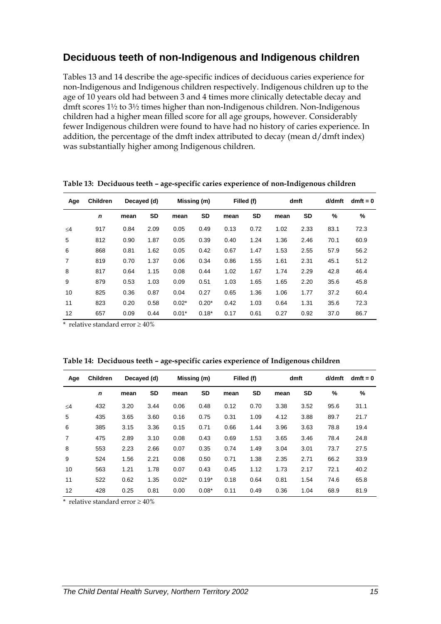## **Deciduous teeth of non-Indigenous and Indigenous children**

Tables 13 and 14 describe the age-specific indices of deciduous caries experience for non-Indigenous and Indigenous children respectively. Indigenous children up to the age of 10 years old had between 3 and 4 times more clinically detectable decay and dmft scores 1½ to 3½ times higher than non-Indigenous children. Non-Indigenous children had a higher mean filled score for all age groups, however. Considerably fewer Indigenous children were found to have had no history of caries experience. In addition, the percentage of the dmft index attributed to decay (mean d/dmft index) was substantially higher among Indigenous children.

| Age            | <b>Children</b> | Decayed (d) |           | Missing (m) |         | Filled (f) |           | dmft |      | d/dmft | $dmft = 0$ |
|----------------|-----------------|-------------|-----------|-------------|---------|------------|-----------|------|------|--------|------------|
|                | n               | mean        | <b>SD</b> | mean        | SD      | mean       | <b>SD</b> | mean | SD   | %      | %          |
| $\leq$ 4       | 917             | 0.84        | 2.09      | 0.05        | 0.49    | 0.13       | 0.72      | 1.02 | 2.33 | 83.1   | 72.3       |
| 5              | 812             | 0.90        | 1.87      | 0.05        | 0.39    | 0.40       | 1.24      | 1.36 | 2.46 | 70.1   | 60.9       |
| 6              | 868             | 0.81        | 1.62      | 0.05        | 0.42    | 0.67       | 1.47      | 1.53 | 2.55 | 57.9   | 56.2       |
| $\overline{7}$ | 819             | 0.70        | 1.37      | 0.06        | 0.34    | 0.86       | 1.55      | 1.61 | 2.31 | 45.1   | 51.2       |
| 8              | 817             | 0.64        | 1.15      | 0.08        | 0.44    | 1.02       | 1.67      | 1.74 | 2.29 | 42.8   | 46.4       |
| 9              | 879             | 0.53        | 1.03      | 0.09        | 0.51    | 1.03       | 1.65      | 1.65 | 2.20 | 35.6   | 45.8       |
| 10             | 825             | 0.36        | 0.87      | 0.04        | 0.27    | 0.65       | 1.36      | 1.06 | 1.77 | 37.2   | 60.4       |
| 11             | 823             | 0.20        | 0.58      | $0.02*$     | $0.20*$ | 0.42       | 1.03      | 0.64 | 1.31 | 35.6   | 72.3       |
| 12             | 657             | 0.09        | 0.44      | $0.01*$     | $0.18*$ | 0.17       | 0.61      | 0.27 | 0.92 | 37.0   | 86.7       |

**Table 13: Deciduous teeth – age-specific caries experience of non-Indigenous children** 

\* relative standard error ≥ 40%

| Table 14: Deciduous teeth - age-specific caries experience of Indigenous children |  |  |  |
|-----------------------------------------------------------------------------------|--|--|--|
|                                                                                   |  |  |  |

| Age            | <b>Children</b> |      | Decayed (d) |         | Missing (m) |      | Filled (f) |      | dmft      | d/dmft | $dmft = 0$ |
|----------------|-----------------|------|-------------|---------|-------------|------|------------|------|-----------|--------|------------|
|                | $\mathbf n$     | mean | SD          | mean    | <b>SD</b>   | mean | <b>SD</b>  | mean | <b>SD</b> | %      | %          |
| $\leq$ 4       | 432             | 3.20 | 3.44        | 0.06    | 0.48        | 0.12 | 0.70       | 3.38 | 3.52      | 95.6   | 31.1       |
| 5              | 435             | 3.65 | 3.60        | 0.16    | 0.75        | 0.31 | 1.09       | 4.12 | 3.88      | 89.7   | 21.7       |
| 6              | 385             | 3.15 | 3.36        | 0.15    | 0.71        | 0.66 | 1.44       | 3.96 | 3.63      | 78.8   | 19.4       |
| $\overline{7}$ | 475             | 2.89 | 3.10        | 0.08    | 0.43        | 0.69 | 1.53       | 3.65 | 3.46      | 78.4   | 24.8       |
| 8              | 553             | 2.23 | 2.66        | 0.07    | 0.35        | 0.74 | 1.49       | 3.04 | 3.01      | 73.7   | 27.5       |
| 9              | 524             | 1.56 | 2.21        | 0.08    | 0.50        | 0.71 | 1.38       | 2.35 | 2.71      | 66.2   | 33.9       |
| 10             | 563             | 1.21 | 1.78        | 0.07    | 0.43        | 0.45 | 1.12       | 1.73 | 2.17      | 72.1   | 40.2       |
| 11             | 522             | 0.62 | 1.35        | $0.02*$ | $0.19*$     | 0.18 | 0.64       | 0.81 | 1.54      | 74.6   | 65.8       |
| 12             | 428             | 0.25 | 0.81        | 0.00    | $0.08*$     | 0.11 | 0.49       | 0.36 | 1.04      | 68.9   | 81.9       |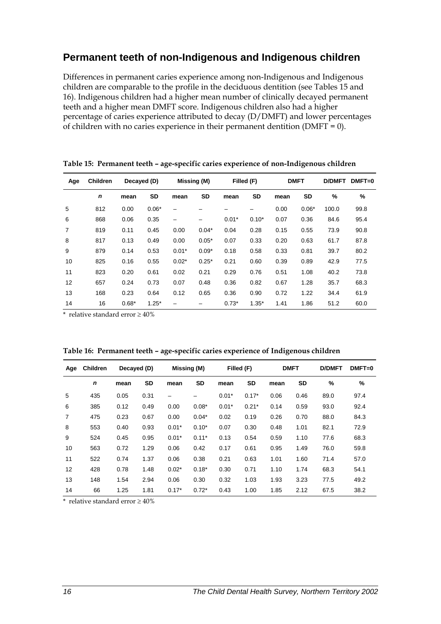## **Permanent teeth of non-Indigenous and Indigenous children**

Differences in permanent caries experience among non-Indigenous and Indigenous children are comparable to the profile in the deciduous dentition (see Tables 15 and 16). Indigenous children had a higher mean number of clinically decayed permanent teeth and a higher mean DMFT score. Indigenous children also had a higher percentage of caries experience attributed to decay (D/DMFT) and lower percentages of children with no caries experience in their permanent dentition ( $DMFT = 0$ ).

| Age            | <b>Children</b> | Decayed (D) |         | Missing (M)              |         |         | Filled (F) |      | <b>DMFT</b> | <b>D/DMFT</b> | $DMFT=0$ |
|----------------|-----------------|-------------|---------|--------------------------|---------|---------|------------|------|-------------|---------------|----------|
|                | $\mathbf n$     | mean        | SD      | mean                     | SD      | mean    | SD         | mean | SD          | %             | %        |
| 5              | 812             | 0.00        | $0.06*$ |                          |         |         |            | 0.00 | $0.06*$     | 100.0         | 99.8     |
| 6              | 868             | 0.06        | 0.35    | $\overline{\phantom{0}}$ |         | $0.01*$ | $0.10*$    | 0.07 | 0.36        | 84.6          | 95.4     |
| $\overline{7}$ | 819             | 0.11        | 0.45    | 0.00                     | $0.04*$ | 0.04    | 0.28       | 0.15 | 0.55        | 73.9          | 90.8     |
| 8              | 817             | 0.13        | 0.49    | 0.00                     | $0.05*$ | 0.07    | 0.33       | 0.20 | 0.63        | 61.7          | 87.8     |
| 9              | 879             | 0.14        | 0.53    | $0.01*$                  | $0.09*$ | 0.18    | 0.58       | 0.33 | 0.81        | 39.7          | 80.2     |
| 10             | 825             | 0.16        | 0.55    | $0.02*$                  | $0.25*$ | 0.21    | 0.60       | 0.39 | 0.89        | 42.9          | 77.5     |
| 11             | 823             | 0.20        | 0.61    | 0.02                     | 0.21    | 0.29    | 0.76       | 0.51 | 1.08        | 40.2          | 73.8     |
| 12             | 657             | 0.24        | 0.73    | 0.07                     | 0.48    | 0.36    | 0.82       | 0.67 | 1.28        | 35.7          | 68.3     |
| 13             | 168             | 0.23        | 0.64    | 0.12                     | 0.65    | 0.36    | 0.90       | 0.72 | 1.22        | 34.4          | 61.9     |
| 14             | 16              | $0.68*$     | $1.25*$ |                          |         | $0.73*$ | $1.35*$    | 1.41 | 1.86        | 51.2          | 60.0     |

**Table 15: Permanent teeth – age-specific caries experience of non-Indigenous children** 

\* relative standard error ≥ 40%

| Age            | <b>Children</b> | Decayed (D) |           | Missing (M) |         |         | Filled (F) |      | <b>DMFT</b> | <b>D/DMFT</b> | $DMFT=0$ |
|----------------|-----------------|-------------|-----------|-------------|---------|---------|------------|------|-------------|---------------|----------|
|                | n               | mean        | <b>SD</b> | mean        | SD      | mean    | SD         | mean | SD          | %             | $\%$     |
| 5              | 435             | 0.05        | 0.31      |             |         | $0.01*$ | $0.17*$    | 0.06 | 0.46        | 89.0          | 97.4     |
| 6              | 385             | 0.12        | 0.49      | 0.00        | $0.08*$ | $0.01*$ | $0.21*$    | 0.14 | 0.59        | 93.0          | 92.4     |
| $\overline{7}$ | 475             | 0.23        | 0.67      | 0.00        | $0.04*$ | 0.02    | 0.19       | 0.26 | 0.70        | 88.0          | 84.3     |
| 8              | 553             | 0.40        | 0.93      | $0.01*$     | $0.10*$ | 0.07    | 0.30       | 0.48 | 1.01        | 82.1          | 72.9     |
| 9              | 524             | 0.45        | 0.95      | $0.01*$     | $0.11*$ | 0.13    | 0.54       | 0.59 | 1.10        | 77.6          | 68.3     |
| 10             | 563             | 0.72        | 1.29      | 0.06        | 0.42    | 0.17    | 0.61       | 0.95 | 1.49        | 76.0          | 59.8     |
| 11             | 522             | 0.74        | 1.37      | 0.06        | 0.38    | 0.21    | 0.63       | 1.01 | 1.60        | 71.4          | 57.0     |
| 12             | 428             | 0.78        | 1.48      | $0.02*$     | $0.18*$ | 0.30    | 0.71       | 1.10 | 1.74        | 68.3          | 54.1     |
| 13             | 148             | 1.54        | 2.94      | 0.06        | 0.30    | 0.32    | 1.03       | 1.93 | 3.23        | 77.5          | 49.2     |
| 14             | 66              | 1.25        | 1.81      | $0.17*$     | $0.72*$ | 0.43    | 1.00       | 1.85 | 2.12        | 67.5          | 38.2     |

**Table 16: Permanent teeth – age-specific caries experience of Indigenous children**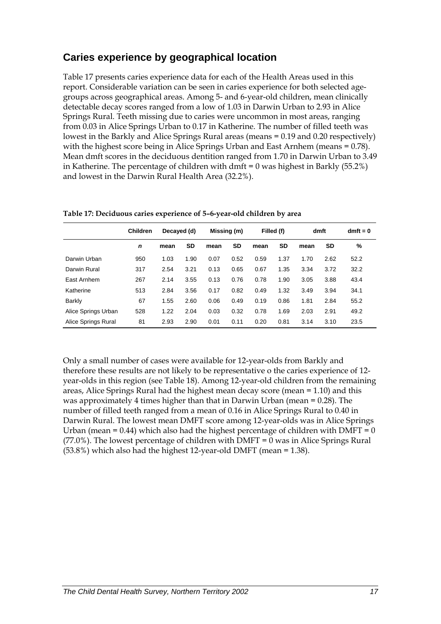## **Caries experience by geographical location**

Table 17 presents caries experience data for each of the Health Areas used in this report. Considerable variation can be seen in caries experience for both selected agegroups across geographical areas. Among 5- and 6-year-old children, mean clinically detectable decay scores ranged from a low of 1.03 in Darwin Urban to 2.93 in Alice Springs Rural. Teeth missing due to caries were uncommon in most areas, ranging from 0.03 in Alice Springs Urban to 0.17 in Katherine. The number of filled teeth was lowest in the Barkly and Alice Springs Rural areas (means = 0.19 and 0.20 respectively) with the highest score being in Alice Springs Urban and East Arnhem (means = 0.78). Mean dmft scores in the deciduous dentition ranged from 1.70 in Darwin Urban to 3.49 in Katherine. The percentage of children with dmft = 0 was highest in Barkly (55.2%) and lowest in the Darwin Rural Health Area (32.2%).

|                     | <b>Children</b> | Decayed (d) |      | Missing (m) |      | Filled (f) |           | dmft |           | $dmft = 0$ |
|---------------------|-----------------|-------------|------|-------------|------|------------|-----------|------|-----------|------------|
|                     | n               | mean        | SD   | mean        | SD   | mean       | <b>SD</b> | mean | <b>SD</b> | %          |
| Darwin Urban        | 950             | 1.03        | 1.90 | 0.07        | 0.52 | 0.59       | 1.37      | 1.70 | 2.62      | 52.2       |
| Darwin Rural        | 317             | 2.54        | 3.21 | 0.13        | 0.65 | 0.67       | 1.35      | 3.34 | 3.72      | 32.2       |
| East Arnhem         | 267             | 2.14        | 3.55 | 0.13        | 0.76 | 0.78       | 1.90      | 3.05 | 3.88      | 43.4       |
| Katherine           | 513             | 2.84        | 3.56 | 0.17        | 0.82 | 0.49       | 1.32      | 3.49 | 3.94      | 34.1       |
| Barkly              | 67              | 1.55        | 2.60 | 0.06        | 0.49 | 0.19       | 0.86      | 1.81 | 2.84      | 55.2       |
| Alice Springs Urban | 528             | 1.22        | 2.04 | 0.03        | 0.32 | 0.78       | 1.69      | 2.03 | 2.91      | 49.2       |
| Alice Springs Rural | 81              | 2.93        | 2.90 | 0.01        | 0.11 | 0.20       | 0.81      | 3.14 | 3.10      | 23.5       |

**Table 17: Deciduous caries experience of 5–6-year-old children by area** 

Only a small number of cases were available for 12-year-olds from Barkly and therefore these results are not likely to be representative o the caries experience of 12 year-olds in this region (see Table 18). Among 12-year-old children from the remaining areas, Alice Springs Rural had the highest mean decay score (mean = 1.10) and this was approximately 4 times higher than that in Darwin Urban (mean = 0.28). The number of filled teeth ranged from a mean of 0.16 in Alice Springs Rural to 0.40 in Darwin Rural. The lowest mean DMFT score among 12-year-olds was in Alice Springs Urban (mean  $= 0.44$ ) which also had the highest percentage of children with DMFT  $= 0$  $(77.0\%)$ . The lowest percentage of children with DMFT = 0 was in Alice Springs Rural  $(53.8\%)$  which also had the highest 12-year-old DMFT (mean = 1.38).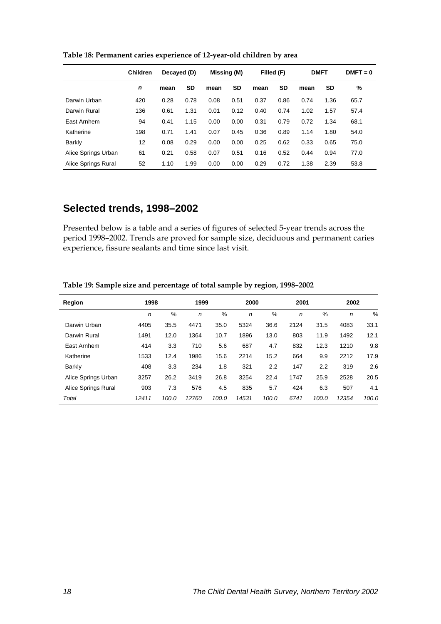|                     | <b>Children</b> | Decayed (D) |           | Missing (M) |           | Filled (F) |           | <b>DMFT</b> |      | $DMFT = 0$ |  |
|---------------------|-----------------|-------------|-----------|-------------|-----------|------------|-----------|-------------|------|------------|--|
|                     | $\mathbf n$     | mean        | <b>SD</b> | mean        | <b>SD</b> | mean       | <b>SD</b> | mean        | SD   | %          |  |
| Darwin Urban        | 420             | 0.28        | 0.78      | 0.08        | 0.51      | 0.37       | 0.86      | 0.74        | 1.36 | 65.7       |  |
| Darwin Rural        | 136             | 0.61        | 1.31      | 0.01        | 0.12      | 0.40       | 0.74      | 1.02        | 1.57 | 57.4       |  |
| East Arnhem         | 94              | 0.41        | 1.15      | 0.00        | 0.00      | 0.31       | 0.79      | 0.72        | 1.34 | 68.1       |  |
| Katherine           | 198             | 0.71        | 1.41      | 0.07        | 0.45      | 0.36       | 0.89      | 1.14        | 1.80 | 54.0       |  |
| Barkly              | 12              | 0.08        | 0.29      | 0.00        | 0.00      | 0.25       | 0.62      | 0.33        | 0.65 | 75.0       |  |
| Alice Springs Urban | 61              | 0.21        | 0.58      | 0.07        | 0.51      | 0.16       | 0.52      | 0.44        | 0.94 | 77.0       |  |
| Alice Springs Rural | 52              | 1.10        | 1.99      | 0.00        | 0.00      | 0.29       | 0.72      | 1.38        | 2.39 | 53.8       |  |

**Table 18: Permanent caries experience of 12-year-old children by area** 

### **Selected trends, 1998–2002**

Presented below is a table and a series of figures of selected 5-year trends across the period 1998–2002. Trends are proved for sample size, deciduous and permanent caries experience, fissure sealants and time since last visit.

| Region              | 1998  |               | 1999         |       | 2000         |       | 2001         |       | 2002         |       |
|---------------------|-------|---------------|--------------|-------|--------------|-------|--------------|-------|--------------|-------|
|                     | n     | $\frac{0}{0}$ | $\mathsf{n}$ | $\%$  | $\mathsf{n}$ | %     | $\mathsf{n}$ | $\%$  | $\mathsf{n}$ | %     |
| Darwin Urban        | 4405  | 35.5          | 4471         | 35.0  | 5324         | 36.6  | 2124         | 31.5  | 4083         | 33.1  |
| Darwin Rural        | 1491  | 12.0          | 1364         | 10.7  | 1896         | 13.0  | 803          | 11.9  | 1492         | 12.1  |
| East Arnhem         | 414   | 3.3           | 710          | 5.6   | 687          | 4.7   | 832          | 12.3  | 1210         | 9.8   |
| Katherine           | 1533  | 12.4          | 1986         | 15.6  | 2214         | 15.2  | 664          | 9.9   | 2212         | 17.9  |
| Barkly              | 408   | 3.3           | 234          | 1.8   | 321          | 2.2   | 147          | 2.2   | 319          | 2.6   |
| Alice Springs Urban | 3257  | 26.2          | 3419         | 26.8  | 3254         | 22.4  | 1747         | 25.9  | 2528         | 20.5  |
| Alice Springs Rural | 903   | 7.3           | 576          | 4.5   | 835          | 5.7   | 424          | 6.3   | 507          | 4.1   |
| Total               | 12411 | 100.0         | 12760        | 100.0 | 14531        | 100.0 | 6741         | 100.0 | 12354        | 100.0 |

**Table 19: Sample size and percentage of total sample by region, 1998–2002**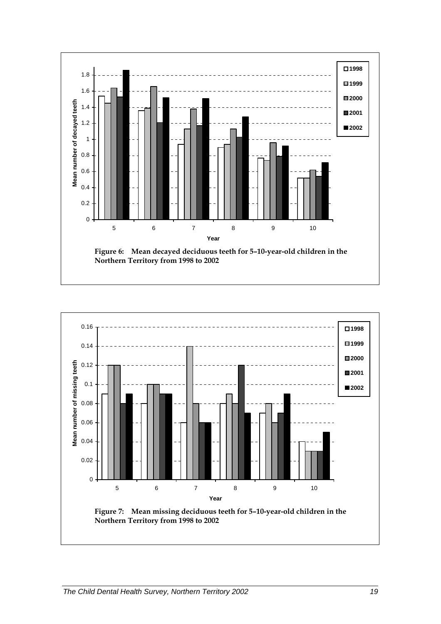

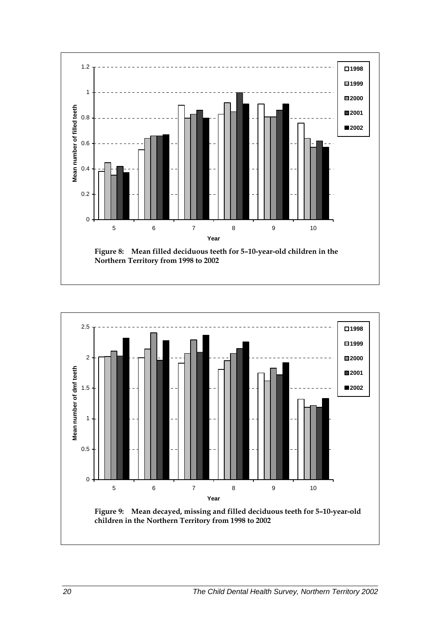

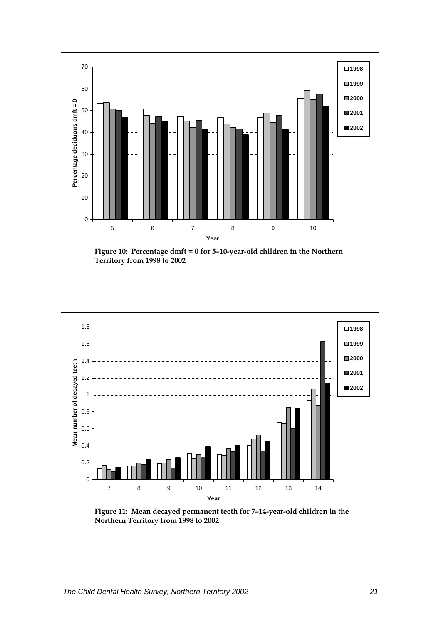

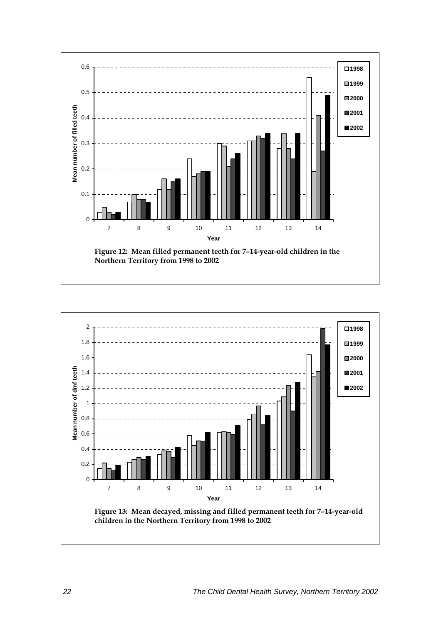

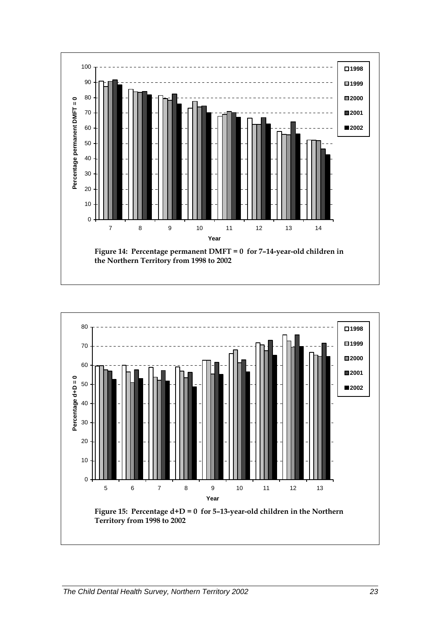

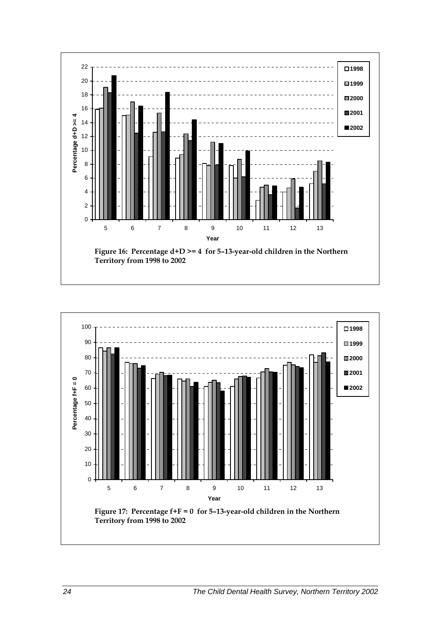

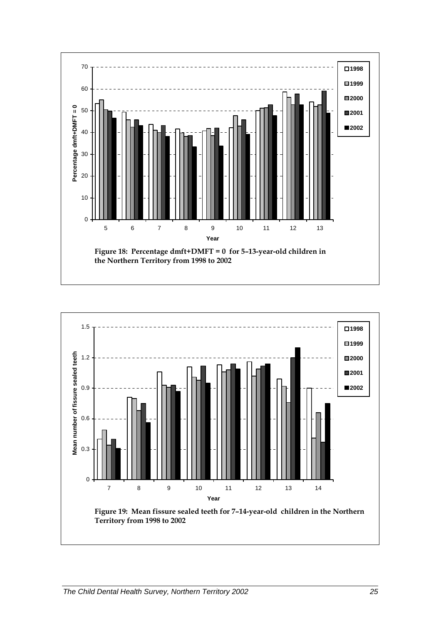